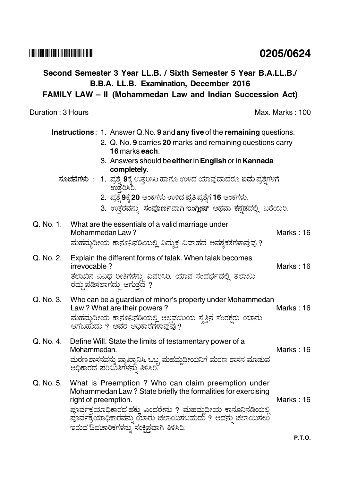## 

## 0205/0624

# Second Semester 3 Year LL.B. / Sixth Semester 5 Year B.A.LL.B./ B.B.A. LL.B. Examination, December 2016 FAMILY LAW - II (Mohammedan Law and Indian Succession Act) Duration: 3 Hours **Max. Marks: 100 Instructions: 1. Answer Q.No. 9 and any five of the remaining questions.** 2. Q. No. 9 carries 20 marks and remaining questions carry **16 marks each.** 3. Answers should be either in English or in Kannada completely.

- ಸೂಚನೆಗಳು: 1. ಪ್ರಶ್ನೆ 9ಕ್ಕೆ ಉತ್ತರಿಸಿರಿ ಹಾಗೂ ಉಳಿದ ಯಾವುದಾದರೂ ಐದು ಪ್ರಶ್ನೆಗಳಿಗೆ ಉತೆರಿಸಿರಿ.
	- 2. ಪ್ರಶ್ನೆ 9ಕ್ಕೆ 20 ಅಂಕಗಳು ಉಳಿದ ಪ್ರತಿ ಪ್ರಶ್ನೆಗೆ 16 ಅಂಕಗಳು.
	- 3. ಉತ್ತರವನ್ನು ಸಂಪೂರ್ಣವಾಗಿ ಇಂಗ್ಲೀಷ್ ಅಥವಾ ಕನ್ನಡದಲ್ಲಿ ಬರೆಯಿರಿ.

#### Q. No. 1. What are the essentials of a valid marriage under Mohammedan Law? Marks  $\cdot$  16 ಮಹಮ್ಮದೀಯ ಕಾನೂನಿನಡಿಯಲ್ಲಿ ವಿದ್ಯುಕ್ತ ವಿವಾಹದ ಅವಶ್ಯಕತೆಗಳಾವುವು ?

### Explain the different forms of talak. When talak becomes Q. No. 2. irrevocable? ತಲಾಖಿನ ವಿವಿಧ ರೀತಿಗಳನ್ನು ವಿವರಿಸಿರಿ. ಯಾವ ಸಂದರ್ಭದಲ್ಲಿ ತಲಾಖು ರದ್ದು ಪಡಿಸಲಾಗದ್ದು ಆಗುತ್ತದೆ ?

#### Q. No. 3. Who can be a guardian of minor's property under Mohammedan Law? What are their powers? Marks: 16 ಮಹಮ್ಮದೀಯ ಕಾನೂನಿನಡಿಯಲ್ಲಿ ಅಲ್ಪವಯಿಯ ಸ್ವತ್ತಿನ ಸಂರಕ್ಷರು ಯಾರು<br>ಆಗಬಹುದು ? ಅವರ ಅಧಿಕಾರಗಳಾವುವು ?

### $Q$ ,  $N_Q$ ,  $4$ Define Will. State the limits of testamentary power of a Mohammedan. Marks: 16 ಮರಣ ಶಾಸನವನ್ನು ವ್ಯಾಖ್ಯಾನಿಸಿ. ಒಬ್ಬ ಮಹಮ್ಮದೀಯನಿಗೆ ಮರಣ ಶಾಸನ ಮಾಡುವ<br>ಅಧಿಕಾರದ ಪರಿಮಿತಿಗಳನ್ನು ತಿಳಿಸಿರಿ.

### Q. No. 5. What is Preemption ? Who can claim preemption under Mohammedan Law? State briefly the formalities for exercising Marks: 16 right of preemption. ಪೂರ್ವಕ್ರಯಾಧಿಕಾರದ ಹಕ್ಕು ಎಂದರೇನು ? ಮಹಮ್ಮದೀಯ ಕಾನೂನಿನಡಿಯಲ್ಲಿ ಪೂರ್ವಕ್ರಯಾಧಿಕಾರವನ್ನು ಯಾರು ಚಲಾಯಿಸಬಹುದು ? ಅದನ್ನು ಚಲಾಯಿಸಲು<br>ಇರುವ ಔಪಚಾರಿಕಗಳನ್ನು ಸಂಕ್ಷಿಪ್ತವಾಗಿ ತಿಳಿಸಿರಿ.

Marks: 16